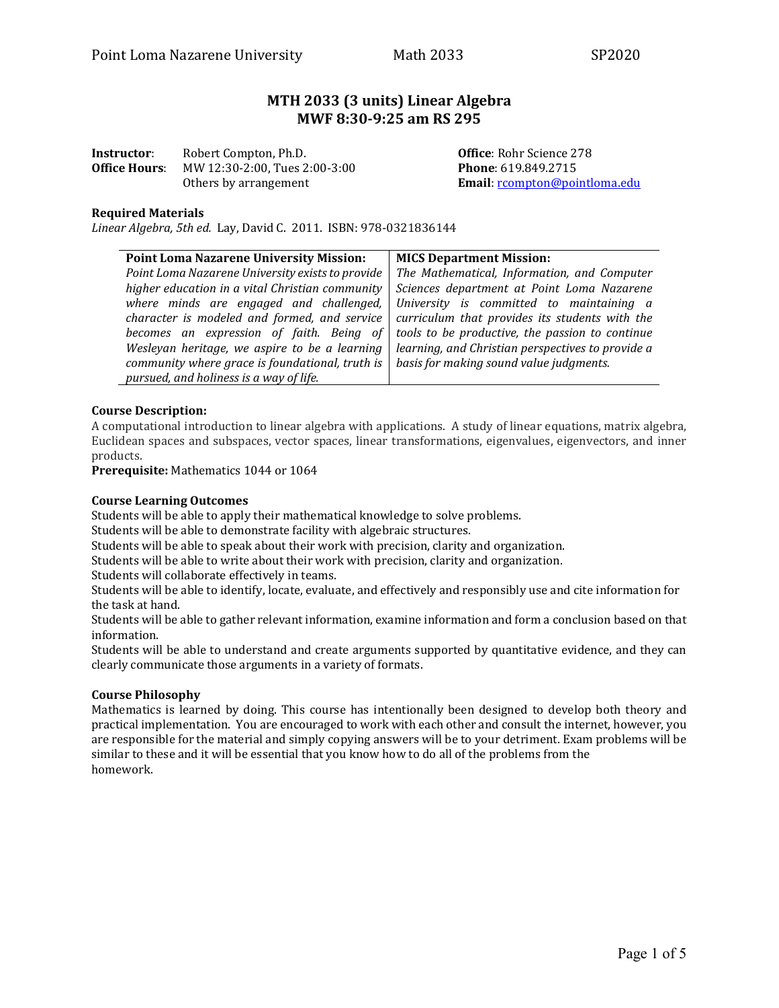# **MTH 2033 (3 units) Linear Algebra MWF 8:30-9:25 am RS 295**

| Instructor:          | Robert Compton, Ph.D.         |  |  |
|----------------------|-------------------------------|--|--|
| <b>Office Hours:</b> | MW 12:30-2:00, Tues 2:00-3:00 |  |  |
|                      | Others by arrangement         |  |  |

**Office: Rohr Science 278 Phone**: 619.849.2715 Email: [rcompton@pointloma.edu](mailto:rcompton@pointloma.edu)

#### **Required Materials**

*Linear Algebra, 5th ed.* Lay, David C. 2011. ISBN: 978-0321836144

| <b>Point Loma Nazarene University Mission:</b>                                                      | <b>MICS Department Mission:</b>                   |  |  |
|-----------------------------------------------------------------------------------------------------|---------------------------------------------------|--|--|
| Point Loma Nazarene University exists to provide                                                    | The Mathematical, Information, and Computer       |  |  |
| higher education in a vital Christian community                                                     | Sciences department at Point Loma Nazarene        |  |  |
| where minds are engaged and challenged,                                                             | University is committed to maintaining a          |  |  |
| character is modeled and formed, and service $\vert$ curriculum that provides its students with the |                                                   |  |  |
| becomes an expression of faith. Being of $\vert$ tools to be productive, the passion to continue    |                                                   |  |  |
| Wesleyan heritage, we aspire to be a learning                                                       | learning, and Christian perspectives to provide a |  |  |
| community where grace is foundational, truth is                                                     | basis for making sound value judgments.           |  |  |
| pursued, and holiness is a way of life.                                                             |                                                   |  |  |

#### **Course Description:**

A computational introduction to linear algebra with applications. A study of linear equations, matrix algebra, Euclidean spaces and subspaces, vector spaces, linear transformations, eigenvalues, eigenvectors, and inner products.

**Prerequisite:** Mathematics 1044 or 1064

#### **Course Learning Outcomes**

Students will be able to apply their mathematical knowledge to solve problems.

Students will be able to demonstrate facility with algebraic structures.

Students will be able to speak about their work with precision, clarity and organization.

Students will be able to write about their work with precision, clarity and organization.

Students will collaborate effectively in teams.

Students will be able to identify, locate, evaluate, and effectively and responsibly use and cite information for the task at hand.

Students will be able to gather relevant information, examine information and form a conclusion based on that information.

Students will be able to understand and create arguments supported by quantitative evidence, and they can clearly communicate those arguments in a variety of formats.

#### **Course Philosophy**

Mathematics is learned by doing. This course has intentionally been designed to develop both theory and practical implementation. You are encouraged to work with each other and consult the internet, however, you are responsible for the material and simply copying answers will be to your detriment. Exam problems will be similar to these and it will be essential that you know how to do all of the problems from the homework.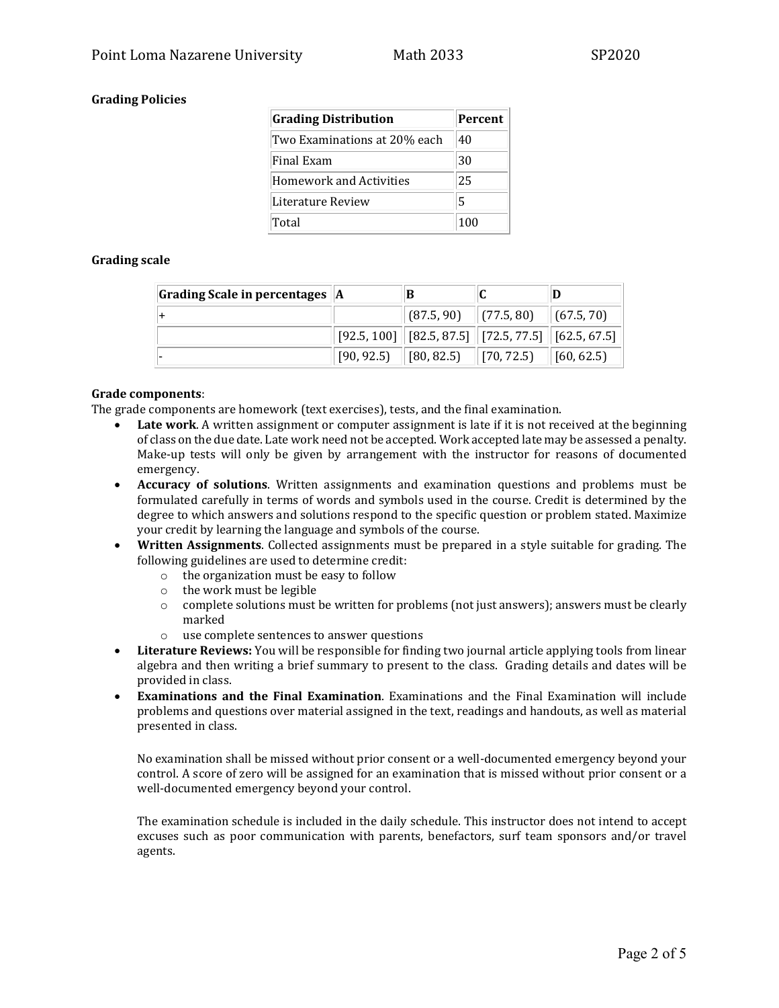# **Grading Policies**

| <b>Grading Distribution</b>    | <b>Percent</b> |
|--------------------------------|----------------|
| Two Examinations at 20% each   | 40             |
| Final Exam                     | 30             |
| <b>Homework and Activities</b> | 25             |
| Literature Review              | 5              |
| Total                          | 100            |

## **Grading scale**

| Grading Scale in percentages   A |                                                                                                                                                                     |  |
|----------------------------------|---------------------------------------------------------------------------------------------------------------------------------------------------------------------|--|
|                                  | $\ $ (87.5, 90) $\ $ (77.5, 80) $\ $ (67.5, 70)                                                                                                                     |  |
|                                  | $\mid$ [92.5, 100] $\mid$ [82.5, 87.5] $\mid$ [72.5, 77.5] $\mid$ [62.5, 67.5] $\mid$                                                                               |  |
|                                  | $\begin{bmatrix} 90, 92.5 \end{bmatrix}$ $\begin{bmatrix} 80, 82.5 \end{bmatrix}$ $\begin{bmatrix} 70, 72.5 \end{bmatrix}$ $\begin{bmatrix} 60, 62.5 \end{bmatrix}$ |  |

#### **Grade components**:

The grade components are homework (text exercises), tests, and the final examination.

- **Late work**. A written assignment or computer assignment is late if it is not received at the beginning of class on the due date. Late work need not be accepted. Work accepted late may be assessed a penalty. Make-up tests will only be given by arrangement with the instructor for reasons of documented emergency.
- **Accuracy of solutions**. Written assignments and examination questions and problems must be formulated carefully in terms of words and symbols used in the course. Credit is determined by the degree to which answers and solutions respond to the specific question or problem stated. Maximize your credit by learning the language and symbols of the course.
- **Written Assignments**. Collected assignments must be prepared in a style suitable for grading. The following guidelines are used to determine credit:
	- o the organization must be easy to follow
	- o the work must be legible
	- $\circ$  complete solutions must be written for problems (not just answers); answers must be clearly marked
	- o use complete sentences to answer questions
- **Literature Reviews:** You will be responsible for finding two journal article applying tools from linear algebra and then writing a brief summary to present to the class. Grading details and dates will be provided in class.
- **Examinations and the Final Examination**. Examinations and the Final Examination will include problems and questions over material assigned in the text, readings and handouts, as well as material presented in class.

No examination shall be missed without prior consent or a well-documented emergency beyond your control. A score of zero will be assigned for an examination that is missed without prior consent or a well-documented emergency beyond your control.

The examination schedule is included in the daily schedule. This instructor does not intend to accept excuses such as poor communication with parents, benefactors, surf team sponsors and/or travel agents.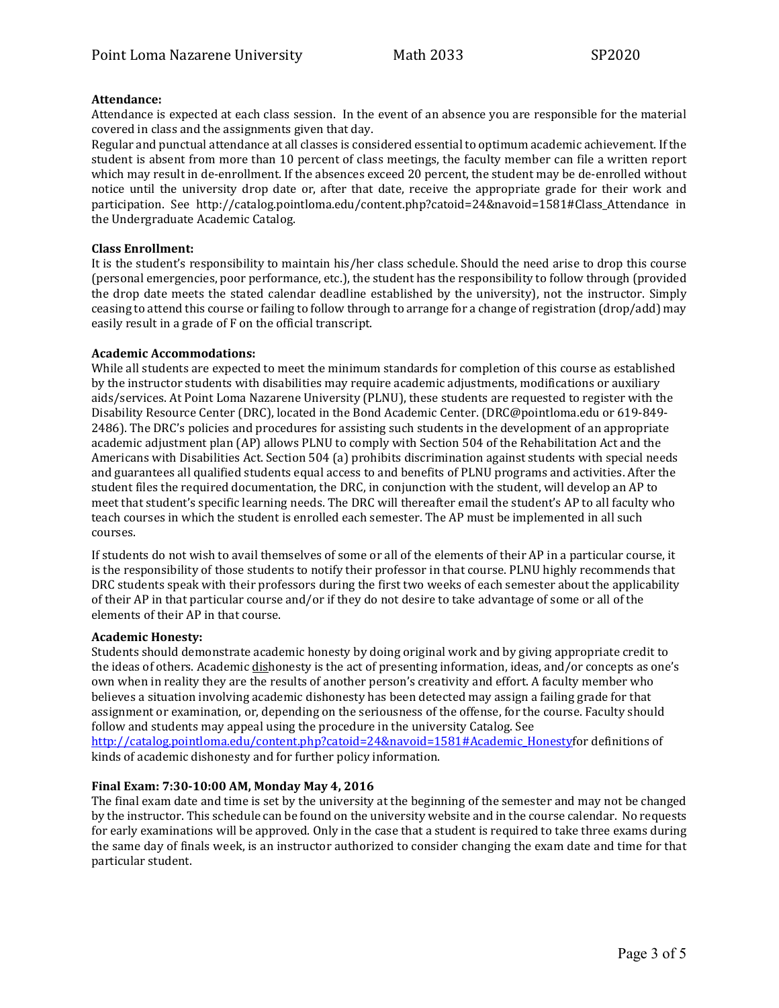#### **Attendance:**

Attendance is expected at each class session. In the event of an absence you are responsible for the material covered in class and the assignments given that day.

Regular and punctual attendance at all classes is considered essential to optimum academic achievement. If the student is absent from more than 10 percent of class meetings, the faculty member can file a written report which may result in de-enrollment. If the absences exceed 20 percent, the student may be de-enrolled without notice until the university drop date or, after that date, receive the appropriate grade for their work and participation. See http://catalog.pointloma.edu/content.php?catoid=24&navoid=1581#Class\_Attendance in the Undergraduate Academic Catalog.

#### **Class Enrollment:**

It is the student's responsibility to maintain his/her class schedule. Should the need arise to drop this course (personal emergencies, poor performance, etc.), the student has the responsibility to follow through (provided the drop date meets the stated calendar deadline established by the university), not the instructor. Simply ceasing to attend this course or failing to follow through to arrange for a change of registration (drop/add) may easily result in a grade of F on the official transcript.

#### **Academic Accommodations:**

While all students are expected to meet the minimum standards for completion of this course as established by the instructor students with disabilities may require academic adjustments, modifications or auxiliary aids/services. At Point Loma Nazarene University (PLNU), these students are requested to register with the Disability Resource Center (DRC), located in the Bond Academic Center. (DRC@pointloma.edu or 619-849- 2486). The DRC's policies and procedures for assisting such students in the development of an appropriate academic adjustment plan (AP) allows PLNU to comply with Section 504 of the Rehabilitation Act and the Americans with Disabilities Act. Section 504 (a) prohibits discrimination against students with special needs and guarantees all qualified students equal access to and benefits of PLNU programs and activities. After the student files the required documentation, the DRC, in conjunction with the student, will develop an AP to meet that student's specific learning needs. The DRC will thereafter email the student's AP to all faculty who teach courses in which the student is enrolled each semester. The AP must be implemented in all such courses.

If students do not wish to avail themselves of some or all of the elements of their AP in a particular course, it is the responsibility of those students to notify their professor in that course. PLNU highly recommends that DRC students speak with their professors during the first two weeks of each semester about the applicability of their AP in that particular course and/or if they do not desire to take advantage of some or all of the elements of their AP in that course.

#### **Academic Honesty:**

Students should demonstrate academic honesty by doing original work and by giving appropriate credit to the ideas of others. Academic dishonesty is the act of presenting information, ideas, and/or concepts as one's own when in reality they are the results of another person's creativity and effort. A faculty member who believes a situation involving academic dishonesty has been detected may assign a failing grade for that assignment or examination, or, depending on the seriousness of the offense, for the course. Faculty should follow and students may appeal using the procedure in the university Catalog. See [http://catalog.pointloma.edu/content.php?catoid=24&navoid=1581#Academic\\_Honestyf](http://catalog.pointloma.edu/content.php?catoid=24&navoid=1581#Academic_Honesty)or definitions of kinds of academic dishonesty and for further policy information.

#### **Final Exam: 7:30-10:00 AM, Monday May 4, 2016**

The final exam date and time is set by the university at the beginning of the semester and may not be changed by the instructor. This schedule can be found on the university website and in the course calendar. No requests for early examinations will be approved. Only in the case that a student is required to take three exams during the same day of finals week, is an instructor authorized to consider changing the exam date and time for that particular student.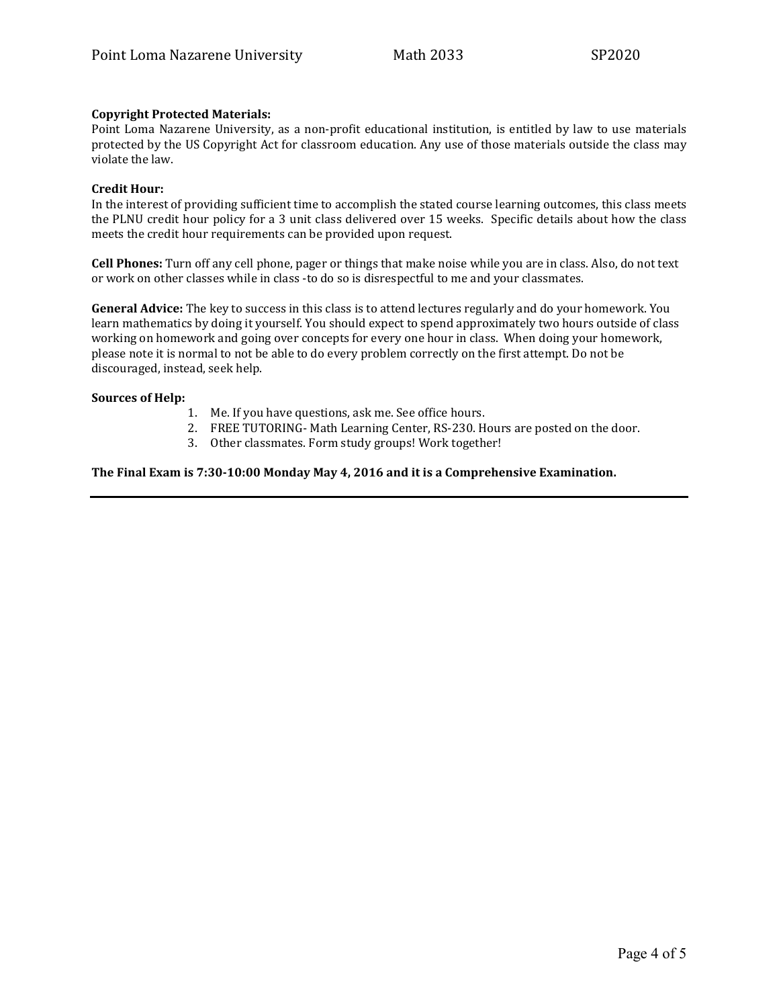## **Copyright Protected Materials:**

Point Loma Nazarene University, as a non-profit educational institution, is entitled by law to use materials protected by the US Copyright Act for classroom education. Any use of those materials outside the class may violate the law.

#### **Credit Hour:**

In the interest of providing sufficient time to accomplish the stated course learning outcomes, this class meets the PLNU credit hour policy for a 3 unit class delivered over 15 weeks. Specific details about how the class meets the credit hour requirements can be provided upon request.

**Cell Phones:** Turn off any cell phone, pager or things that make noise while you are in class. Also, do not text or work on other classes while in class -to do so is disrespectful to me and your classmates.

**General Advice:** The key to success in this class is to attend lectures regularly and do your homework. You learn mathematics by doing it yourself. You should expect to spend approximately two hours outside of class working on homework and going over concepts for every one hour in class. When doing your homework, please note it is normal to not be able to do every problem correctly on the first attempt. Do not be discouraged, instead, seek help.

#### **Sources of Help:**

- 1. Me. If you have questions, ask me. See office hours.
- 2. FREE TUTORING- Math Learning Center, RS-230. Hours are posted on the door.
- 3. Other classmates. Form study groups! Work together!

#### **The Final Exam is 7:30-10:00 Monday May 4, 2016 and it is a Comprehensive Examination.**